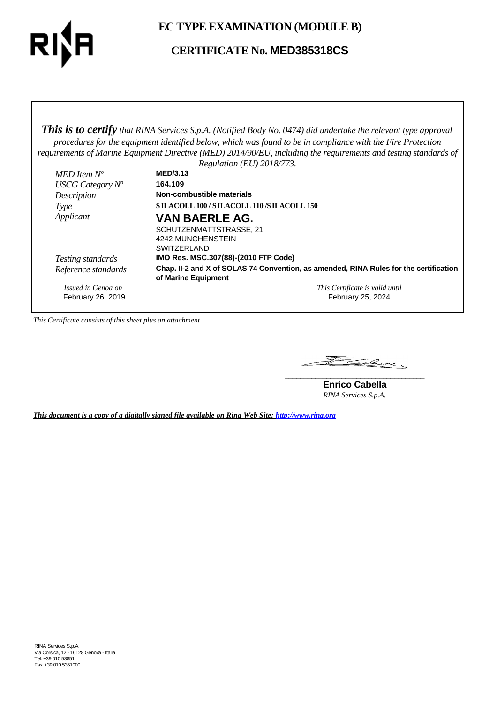

**EC TYPE EXAMINATION (MODULE B)**

**CERTIFICATE No. MED385318CS**

*This is to certify that RINA Services S.p.A. (Notified Body No. 0474) did undertake the relevant type approval procedures for the equipment identified below, which was found to be in compliance with the Fire Protection requirements of Marine Equipment Directive (MED) 2014/90/EU, including the requirements and testing standards of*

|                     | Regulation (EU) $2018/773$ .                                                          |  |
|---------------------|---------------------------------------------------------------------------------------|--|
| MED Item $N^o$      | <b>MED/3.13</b>                                                                       |  |
| USCG Category $N^o$ | 164.109                                                                               |  |
| Description         | Non-combustible materials                                                             |  |
| Type                | <b>SILACOLL 100/SILACOLL 110/SILACOLL 150</b>                                         |  |
| Applicant           | <b>VAN BAERLE AG.</b>                                                                 |  |
|                     | SCHUTZENMATTSTRASSE, 21                                                               |  |
|                     | 4242 MUNCHENSTEIN                                                                     |  |
|                     | <b>SWITZERLAND</b>                                                                    |  |
| Testing standards   | IMO Res. MSC.307(88)-(2010 FTP Code)                                                  |  |
| Reference standards | Chap. II-2 and X of SOLAS 74 Convention, as amended, RINA Rules for the certification |  |
|                     | of Marine Equipment                                                                   |  |
| Issued in Genoa on  | This Certificate is valid until                                                       |  |
| February 26, 2019   | February 25, 2024                                                                     |  |

*This Certificate consists of this sheet plus an attachment*

Falcey **\_\_\_\_\_\_\_\_\_\_\_\_\_\_\_\_\_\_\_\_\_\_\_\_\_\_\_\_\_\_\_\_\_\_\_\_\_**

**Enrico Cabella** *RINA Services S.p.A.*

*This document is a copy of a digitally signed file available on Rina Web Site: http://www.rina.org*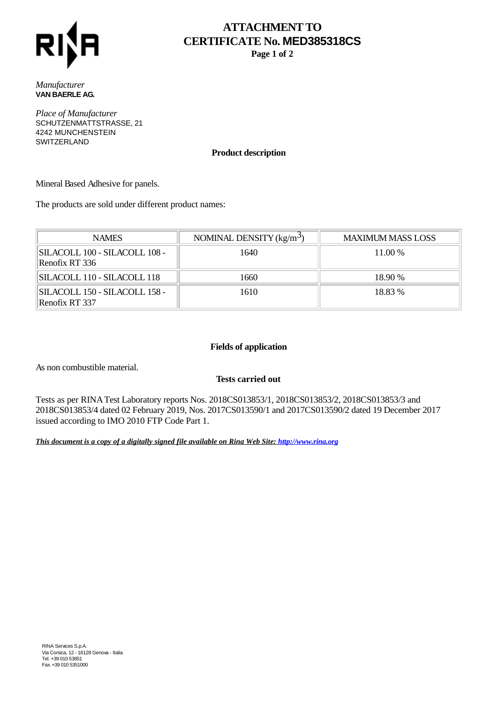

# **ATTACHMENT TO CERTIFICATE No. MED385318CS**

**Page 1 of 2**

*Manufacturer* **VAN BAERLE AG.**

*Place of Manufacturer* SCHUTZENMATTSTRASSE, 21 4242 MUNCHENSTEIN SWITZERLAND

### **Product description**

Mineral Based Adhesive for panels.

The products are sold under different product names:

| <b>NAMES</b>                                    | NOMINAL DENSITY $(kg/m^3)$ | <b>MAXIMUM MASS LOSS</b> |
|-------------------------------------------------|----------------------------|--------------------------|
| SILACOLL 100 - SILACOLL 108 -<br>Renofix RT 336 | 1640                       | 11.00 %                  |
| SILACOLL 110 - SILACOLL 118                     | 1660                       | 18.90 %                  |
| SILACOLL 150 - SILACOLL 158 -<br>Renofix RT 337 | 1610                       | 18.83 %                  |

## **Fields of application**

As non combustible material.

# **Tests carried out**

Tests as per RINA Test Laboratory reports Nos. 2018CS013853/1, 2018CS013853/2, 2018CS013853/3 and 2018CS013853/4 dated 02 February 2019, Nos. 2017CS013590/1 and 2017CS013590/2 dated 19 December 2017 issued according to IMO 2010 FTP Code Part 1.

*This document is a copy of a digitally signed file available on Rina Web Site: http://www.rina.org*